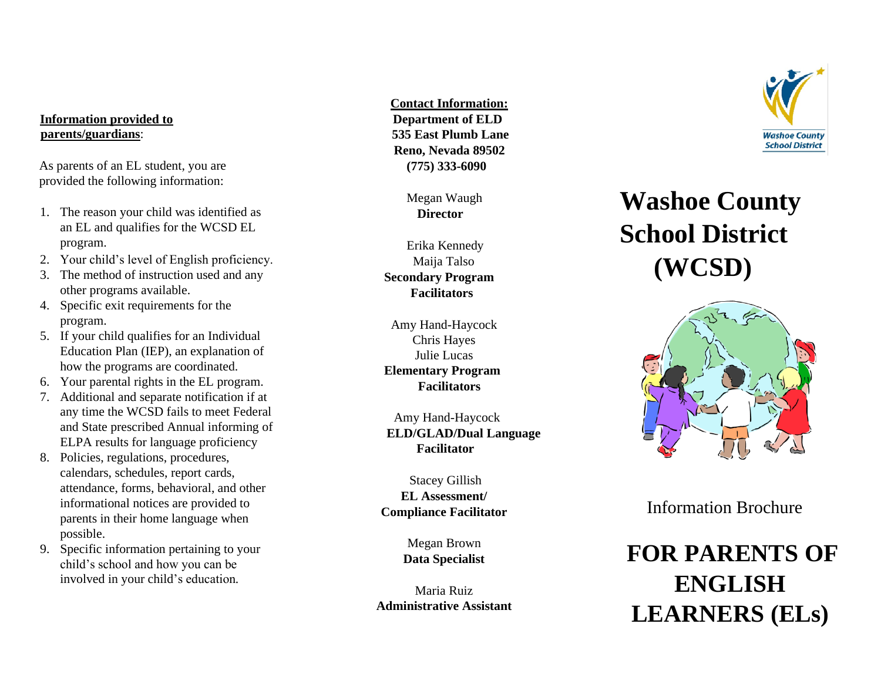#### **Information provided to parents/guardians**:

As parents of an EL student, you are provided the following information:

- 1. The reason your child was identified as an EL and qualifies for the WCSD EL program.
- 2. Your child's level of English proficiency.
- 3. The method of instruction used and any other programs available.
- 4. Specific exit requirements for the program.
- 5. If your child qualifies for an Individual Education Plan (IEP), an explanation of how the programs are coordinated.
- 6. Your parental rights in the EL program.
- 7. Additional and separate notification if at any time the WCSD fails to meet Federal and State prescribed Annual informing of ELPA results for language proficiency
- 8. Policies, regulations, procedures, calendars, schedules, report cards, attendance, forms, behavioral, and other informational notices are provided to parents in their home language when possible.
- 9. Specific information pertaining to your child's school and how you can be involved in your child's education*.*

 **Contact Information : Department of EL D 535 East Plumb Lane Reno, Nevada 89502 (775) 333 -6090**

> Megan Waugh **Director**

Erika Kennedy Maija Talso  **Secondary Program Facilitators**

Amy Hand -Haycock Chris Hayes Julie Lucas  **Elementary Program Facilitators**

 Amy Hand -Haycock **ELD/GLAD/Dual Language Facilitator**

Stacey Gillish **EL Assessment/ Compliance Facilitator**

> Megan Brown **Data Specialist**

Maria Ruiz **Administrative Assistant**



# **Washoe County School District (WCSD)**



Information Brochure